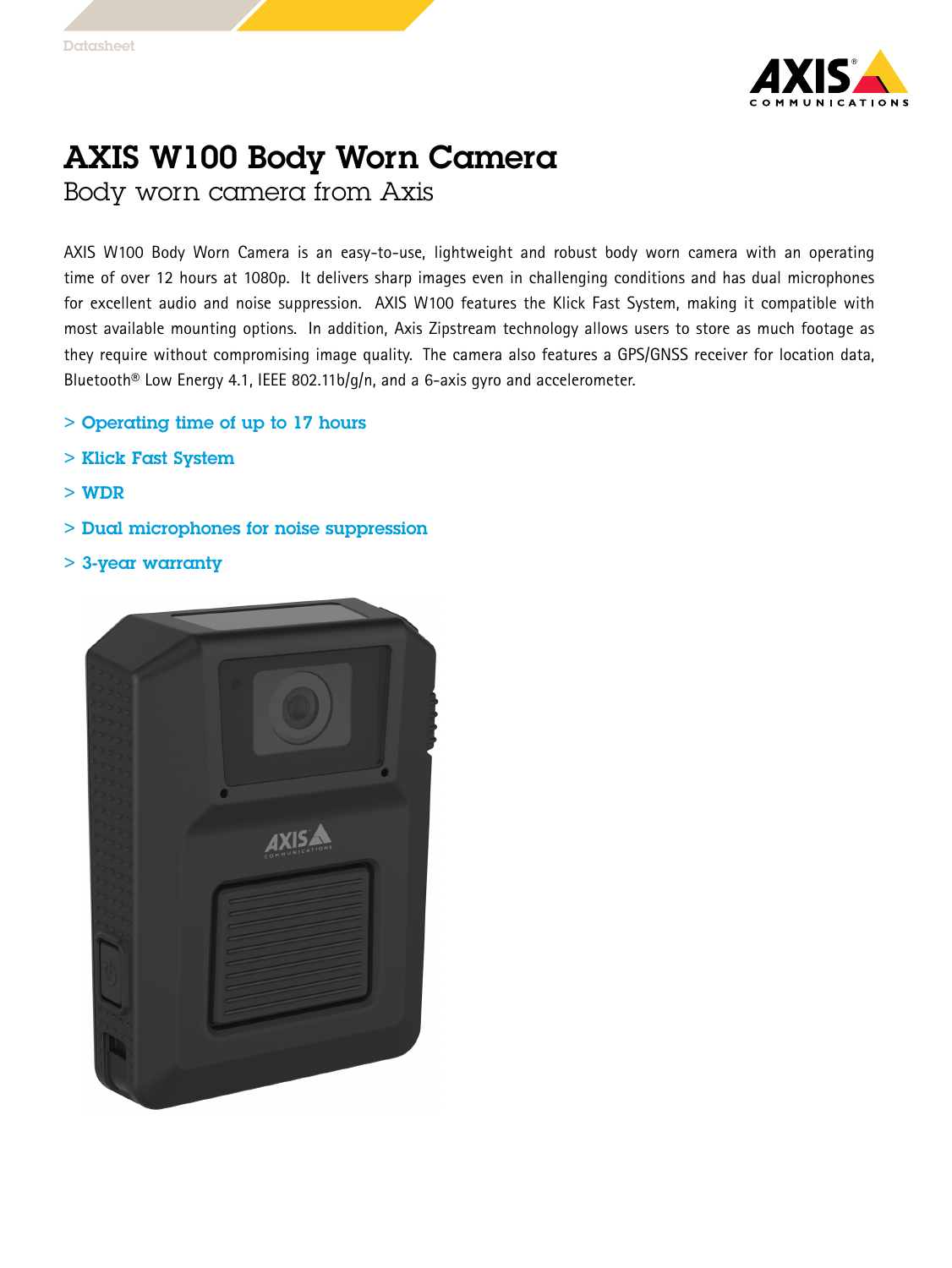

## AXIS W100 Body Worn Camera

Body worn camera from Axis

AXIS W100 Body Worn Camera is an easy-to-use, lightweight and robust body worn camera with an operating time of over 12 hours at 1080p. It delivers sharp images even in challenging conditions and has dual microphones for excellent audio and noise suppression. AXIS W100 features the Klick Fast System, making it compatible with most available mounting options. In addition, Axis Zipstream technology allows users to store as much footage as they require without compromising image quality. The camera also features <sup>a</sup> GPS/GNSS receiver for location data, Bluetooth<sup>®</sup> Low Energy 4.1, IEEE 802.11b/g/n, and a 6-axis gyro and accelerometer.

- > Operating time of up to 17 hours
- > Klick Fast System
- > WDR
- > Dual microphones for noise suppression
- > 3-year warranty